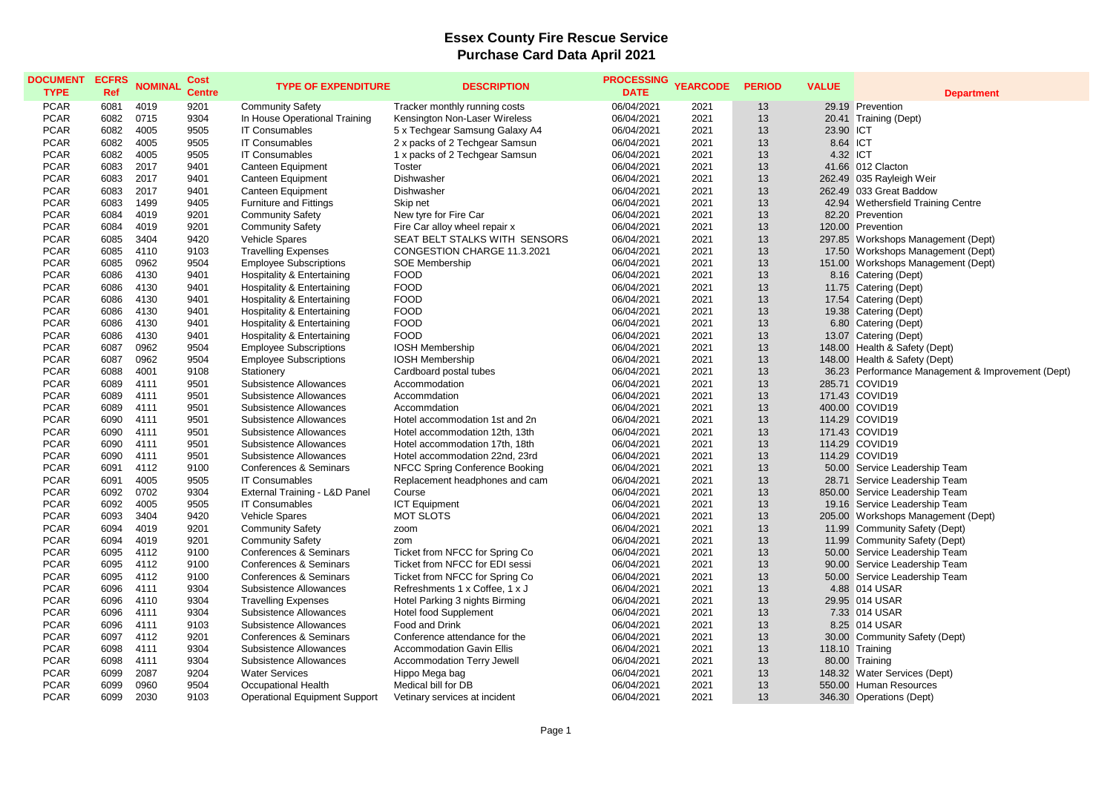## **Essex County Fire Rescue Service Purchase Card Data April 2021**

| <b>DOCUMENT</b><br><b>TYPE</b> | <b>ECFRS</b><br><b>Ref</b> | <b>NOMINAL</b> | <b>Cost</b><br><b>Centre</b> | <b>TYPE OF EXPENDITURE</b>            | <b>DESCRIPTION</b>                | <b>PROCESSING</b><br><b>DATE</b> | <b>YEARCODE</b> | <b>PERIOD</b> | <b>VALUE</b> | <b>Department</b>                                 |
|--------------------------------|----------------------------|----------------|------------------------------|---------------------------------------|-----------------------------------|----------------------------------|-----------------|---------------|--------------|---------------------------------------------------|
| <b>PCAR</b>                    | 6081                       | 4019           | 9201                         | <b>Community Safety</b>               | Tracker monthly running costs     | 06/04/2021                       | 2021            | 13            |              | 29.19 Prevention                                  |
| <b>PCAR</b>                    | 6082                       | 0715           | 9304                         | In House Operational Training         | Kensington Non-Laser Wireless     | 06/04/2021                       | 2021            | 13            |              | 20.41 Training (Dept)                             |
| <b>PCAR</b>                    | 6082                       | 4005           | 9505                         | <b>IT Consumables</b>                 | 5 x Techgear Samsung Galaxy A4    | 06/04/2021                       | 2021            | 13            | 23.90 ICT    |                                                   |
| <b>PCAR</b>                    | 6082                       | 4005           | 9505                         | <b>IT Consumables</b>                 | 2 x packs of 2 Techgear Samsun    | 06/04/2021                       | 2021            | 13            | 8.64 ICT     |                                                   |
| <b>PCAR</b>                    | 6082                       | 4005           | 9505                         | <b>IT Consumables</b>                 | 1 x packs of 2 Techgear Samsun    | 06/04/2021                       | 2021            | 13            | 4.32 ICT     |                                                   |
| <b>PCAR</b>                    | 6083                       | 2017           | 9401                         | Canteen Equipment                     | <b>Toster</b>                     | 06/04/2021                       | 2021            | 13            |              | 41.66 012 Clacton                                 |
| <b>PCAR</b>                    | 6083                       | 2017           | 9401                         | Canteen Equipment                     | Dishwasher                        | 06/04/2021                       | 2021            | 13            |              | 262.49 035 Rayleigh Weir                          |
| <b>PCAR</b>                    | 6083                       | 2017           | 9401                         | Canteen Equipment                     | Dishwasher                        | 06/04/2021                       | 2021            | 13            |              | 262.49 033 Great Baddow                           |
| <b>PCAR</b>                    | 6083                       | 1499           | 9405                         | <b>Furniture and Fittings</b>         | Skip net                          | 06/04/2021                       | 2021            | 13            |              | 42.94 Wethersfield Training Centre                |
| <b>PCAR</b>                    | 6084                       | 4019           | 9201                         | <b>Community Safety</b>               | New tyre for Fire Car             | 06/04/2021                       | 2021            | 13            |              | 82.20 Prevention                                  |
| <b>PCAR</b>                    | 6084                       | 4019           | 9201                         | <b>Community Safety</b>               | Fire Car alloy wheel repair x     | 06/04/2021                       | 2021            | 13            |              | 120.00 Prevention                                 |
| <b>PCAR</b>                    | 6085                       | 3404           | 9420                         | Vehicle Spares                        | SEAT BELT STALKS WITH SENSORS     | 06/04/2021                       | 2021            | 13            |              | 297.85 Workshops Management (Dept)                |
| <b>PCAR</b>                    | 6085                       | 4110           | 9103                         | <b>Travelling Expenses</b>            | CONGESTION CHARGE 11.3.2021       | 06/04/2021                       | 2021            | 13            |              | 17.50 Workshops Management (Dept)                 |
| <b>PCAR</b>                    | 6085                       | 0962           | 9504                         | <b>Employee Subscriptions</b>         | <b>SOE Membership</b>             | 06/04/2021                       | 2021            | 13            |              | 151.00 Workshops Management (Dept)                |
| <b>PCAR</b>                    | 6086                       | 4130           | 9401                         | Hospitality & Entertaining            | <b>FOOD</b>                       | 06/04/2021                       | 2021            | 13            |              | 8.16 Catering (Dept)                              |
| <b>PCAR</b>                    | 6086                       | 4130           | 9401                         | Hospitality & Entertaining            | <b>FOOD</b>                       | 06/04/2021                       | 2021            | 13            |              | 11.75 Catering (Dept)                             |
| <b>PCAR</b>                    | 6086                       | 4130           | 9401                         | <b>Hospitality &amp; Entertaining</b> | <b>FOOD</b>                       | 06/04/2021                       | 2021            | 13            |              | 17.54 Catering (Dept)                             |
| <b>PCAR</b>                    | 6086                       | 4130           | 9401                         | Hospitality & Entertaining            | <b>FOOD</b>                       | 06/04/2021                       | 2021            | 13            |              | 19.38 Catering (Dept)                             |
| <b>PCAR</b>                    | 6086                       | 4130           | 9401                         | <b>Hospitality &amp; Entertaining</b> | <b>FOOD</b>                       | 06/04/2021                       | 2021            | 13            |              | 6.80 Catering (Dept)                              |
| <b>PCAR</b>                    | 6086                       | 4130           | 9401                         | <b>Hospitality &amp; Entertaining</b> | <b>FOOD</b>                       | 06/04/2021                       | 2021            | 13            |              | 13.07 Catering (Dept)                             |
| <b>PCAR</b>                    | 6087                       | 0962           | 9504                         | <b>Employee Subscriptions</b>         | <b>IOSH Membership</b>            | 06/04/2021                       | 2021            | 13            |              | 148.00 Health & Safety (Dept)                     |
| <b>PCAR</b>                    | 6087                       | 0962           | 9504                         | <b>Employee Subscriptions</b>         | <b>IOSH Membership</b>            | 06/04/2021                       | 2021            | 13            |              | 148.00 Health & Safety (Dept)                     |
| <b>PCAR</b>                    | 6088                       | 4001           | 9108                         | Stationery                            | Cardboard postal tubes            | 06/04/2021                       | 2021            | 13            |              | 36.23 Performance Management & Improvement (Dept) |
| <b>PCAR</b>                    | 6089                       | 4111           | 9501                         | Subsistence Allowances                | Accommodation                     | 06/04/2021                       | 2021            | 13            |              | 285.71 COVID19                                    |
| <b>PCAR</b>                    | 6089                       | 4111           | 9501                         | Subsistence Allowances                | Accommdation                      | 06/04/2021                       | 2021            | 13            |              | 171.43 COVID19                                    |
| <b>PCAR</b>                    | 6089                       | 4111           | 9501                         | Subsistence Allowances                | Accommdation                      | 06/04/2021                       | 2021            | 13            |              | 400.00 COVID19                                    |
| <b>PCAR</b>                    | 6090                       | 4111           | 9501                         | Subsistence Allowances                | Hotel accommodation 1st and 2n    | 06/04/2021                       | 2021            | 13            |              | 114.29 COVID19                                    |
| <b>PCAR</b>                    | 6090                       | 4111           | 9501                         | Subsistence Allowances                | Hotel accommodation 12th, 13th    | 06/04/2021                       | 2021            | 13            |              | 171.43 COVID19                                    |
| <b>PCAR</b>                    | 6090                       | 4111           | 9501                         | Subsistence Allowances                | Hotel accommodation 17th, 18th    | 06/04/2021                       | 2021            | 13            |              | 114.29 COVID19                                    |
| <b>PCAR</b>                    | 6090                       | 4111           | 9501                         | Subsistence Allowances                | Hotel accommodation 22nd, 23rd    | 06/04/2021                       | 2021            | 13            |              | 114.29 COVID19                                    |
| <b>PCAR</b>                    | 6091                       | 4112           | 9100                         | Conferences & Seminars                | NFCC Spring Conference Booking    | 06/04/2021                       | 2021            | 13            |              | 50.00 Service Leadership Team                     |
| <b>PCAR</b>                    | 6091                       | 4005           | 9505                         | <b>IT Consumables</b>                 | Replacement headphones and cam    | 06/04/2021                       | 2021            | 13            |              | 28.71 Service Leadership Team                     |
| <b>PCAR</b>                    | 6092                       | 0702           | 9304                         | External Training - L&D Panel         | Course                            | 06/04/2021                       | 2021            | 13            |              | 850.00 Service Leadership Team                    |
| <b>PCAR</b>                    | 6092                       | 4005           | 9505                         | <b>IT Consumables</b>                 | <b>ICT Equipment</b>              | 06/04/2021                       | 2021            | 13            |              | 19.16 Service Leadership Team                     |
| <b>PCAR</b>                    | 6093                       | 3404           | 9420                         | Vehicle Spares                        | <b>MOT SLOTS</b>                  | 06/04/2021                       | 2021            | 13            |              | 205.00 Workshops Management (Dept)                |
| <b>PCAR</b>                    | 6094                       | 4019           | 9201                         | <b>Community Safety</b>               | zoom                              | 06/04/2021                       | 2021            | 13            |              | 11.99 Community Safety (Dept)                     |
| <b>PCAR</b>                    | 6094                       | 4019           | 9201                         | <b>Community Safety</b>               | zom                               | 06/04/2021                       | 2021            | 13            |              | 11.99 Community Safety (Dept)                     |
| <b>PCAR</b>                    | 6095                       | 4112           | 9100                         | Conferences & Seminars                | Ticket from NFCC for Spring Co    | 06/04/2021                       | 2021            | 13            |              | 50.00 Service Leadership Team                     |
| <b>PCAR</b>                    | 6095                       | 4112           | 9100                         | Conferences & Seminars                | Ticket from NFCC for EDI sessi    | 06/04/2021                       | 2021            | 13            |              | 90.00 Service Leadership Team                     |
| <b>PCAR</b>                    | 6095                       | 4112           | 9100                         | Conferences & Seminars                | Ticket from NFCC for Spring Co    | 06/04/2021                       | 2021            | 13            |              | 50.00 Service Leadership Team                     |
| <b>PCAR</b>                    | 6096                       | 4111           | 9304                         | Subsistence Allowances                | Refreshments 1 x Coffee, 1 x J    | 06/04/2021                       | 2021            | 13            |              | 4.88 014 USAR                                     |
| <b>PCAR</b>                    | 6096                       | 4110           | 9304                         | <b>Travelling Expenses</b>            | Hotel Parking 3 nights Birming    | 06/04/2021                       | 2021            | 13            |              | 29.95 014 USAR                                    |
| <b>PCAR</b>                    | 6096                       | 4111           | 9304                         | Subsistence Allowances                | Hotel food Supplement             | 06/04/2021                       | 2021            | 13            |              | 7.33 014 USAR                                     |
| <b>PCAR</b>                    | 6096                       | 4111           | 9103                         | Subsistence Allowances                | Food and Drink                    | 06/04/2021                       | 2021            | 13            |              | 8.25 014 USAR                                     |
| <b>PCAR</b>                    | 6097                       | 4112           | 9201                         | Conferences & Seminars                | Conference attendance for the     | 06/04/2021                       | 2021            | 13            |              | 30.00 Community Safety (Dept)                     |
| <b>PCAR</b>                    | 6098                       | 4111           | 9304                         | Subsistence Allowances                | <b>Accommodation Gavin Ellis</b>  | 06/04/2021                       | 2021            | 13            |              | 118.10 Training                                   |
| <b>PCAR</b>                    | 6098                       | 4111           | 9304                         | Subsistence Allowances                | <b>Accommodation Terry Jewell</b> | 06/04/2021                       | 2021            | 13            |              | 80.00 Training                                    |
| <b>PCAR</b>                    | 6099                       | 2087           | 9204                         | <b>Water Services</b>                 | Hippo Mega bag                    | 06/04/2021                       | 2021            | 13            |              | 148.32 Water Services (Dept)                      |
| <b>PCAR</b>                    | 6099                       | 0960           | 9504                         | Occupational Health                   | Medical bill for DB               | 06/04/2021                       | 2021            | 13            |              | 550.00 Human Resources                            |
| <b>PCAR</b>                    | 6099                       | 2030           | 9103                         | Operational Equipment Support         | Vetinary services at incident     | 06/04/2021                       | 2021            | 13            |              | 346.30 Operations (Dept)                          |